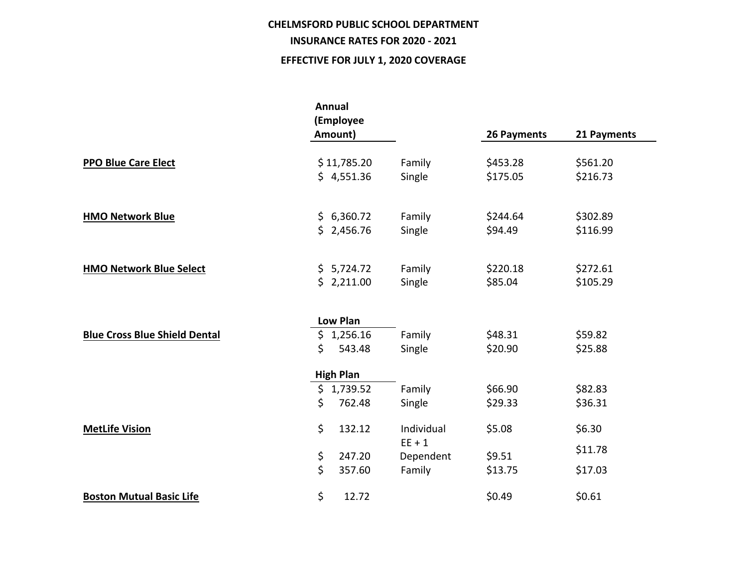## **CHELMSFORD PUBLIC SCHOOL DEPARTMENT**

## **INSURANCE RATES FOR 2020 - 2021**

## **EFFECTIVE FOR JULY 1, 2020 COVERAGE**

|                                      | Annual<br>(Employee<br>Amount) |                       | 26 Payments | 21 Payments |  |
|--------------------------------------|--------------------------------|-----------------------|-------------|-------------|--|
|                                      |                                |                       |             |             |  |
| <b>PPO Blue Care Elect</b>           | \$11,785.20                    | Family                | \$453.28    | \$561.20    |  |
|                                      | \$4,551.36                     | Single                | \$175.05    | \$216.73    |  |
|                                      |                                |                       |             |             |  |
| <b>HMO Network Blue</b>              | \$6,360.72                     | Family                | \$244.64    | \$302.89    |  |
|                                      | \$2,456.76                     | Single                | \$94.49     | \$116.99    |  |
| <b>HMO Network Blue Select</b>       | \$5,724.72                     | Family                | \$220.18    | \$272.61    |  |
|                                      | \$2,211.00                     | Single                | \$85.04     | \$105.29    |  |
|                                      | <b>Low Plan</b>                |                       |             |             |  |
| <b>Blue Cross Blue Shield Dental</b> | \$1,256.16                     | Family                | \$48.31     | \$59.82     |  |
|                                      | \$<br>543.48                   | Single                | \$20.90     | \$25.88     |  |
|                                      | <b>High Plan</b>               |                       |             |             |  |
|                                      | \$1,739.52                     | Family                | \$66.90     | \$82.83     |  |
|                                      | \$<br>762.48                   | Single                | \$29.33     | \$36.31     |  |
| <b>MetLife Vision</b>                | \$<br>132.12                   | Individual            | \$5.08      | \$6.30      |  |
|                                      | \$<br>247.20                   | $EE + 1$<br>Dependent | \$9.51      | \$11.78     |  |
|                                      | \$<br>357.60                   | Family                | \$13.75     | \$17.03     |  |
| <b>Boston Mutual Basic Life</b>      | \$<br>12.72                    |                       | \$0.49      | \$0.61      |  |